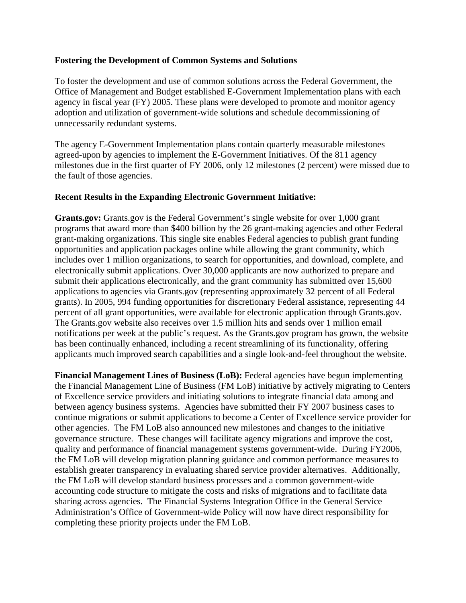## **Fostering the Development of Common Systems and Solutions**

To foster the development and use of common solutions across the Federal Government, the Office of Management and Budget established E-Government Implementation plans with each agency in fiscal year (FY) 2005. These plans were developed to promote and monitor agency adoption and utilization of government-wide solutions and schedule decommissioning of unnecessarily redundant systems.

The agency E-Government Implementation plans contain quarterly measurable milestones agreed-upon by agencies to implement the E-Government Initiatives. Of the 811 agency milestones due in the first quarter of FY 2006, only 12 milestones (2 percent) were missed due to the fault of those agencies.

## **Recent Results in the Expanding Electronic Government Initiative:**

**Grants.gov:** Grants.gov is the Federal Government's single website for over 1,000 grant programs that award more than \$400 billion by the 26 grant-making agencies and other Federal grant-making organizations. This single site enables Federal agencies to publish grant funding opportunities and application packages online while allowing the grant community, which includes over 1 million organizations, to search for opportunities, and download, complete, and electronically submit applications. Over 30,000 applicants are now authorized to prepare and submit their applications electronically, and the grant community has submitted over 15,600 applications to agencies via Grants.gov (representing approximately 32 percent of all Federal grants). In 2005, 994 funding opportunities for discretionary Federal assistance, representing 44 percent of all grant opportunities, were available for electronic application through Grants.gov. The Grants.gov website also receives over 1.5 million hits and sends over 1 million email notifications per week at the public's request. As the Grants.gov program has grown, the website has been continually enhanced, including a recent streamlining of its functionality, offering applicants much improved search capabilities and a single look-and-feel throughout the website.

**Financial Management Lines of Business (LoB):** Federal agencies have begun implementing the Financial Management Line of Business (FM LoB) initiative by actively migrating to Centers of Excellence service providers and initiating solutions to integrate financial data among and between agency business systems. Agencies have submitted their FY 2007 business cases to continue migrations or submit applications to become a Center of Excellence service provider for other agencies. The FM LoB also announced new milestones and changes to the initiative governance structure. These changes will facilitate agency migrations and improve the cost, quality and performance of financial management systems government-wide. During FY2006, the FM LoB will develop migration planning guidance and common performance measures to establish greater transparency in evaluating shared service provider alternatives. Additionally, the FM LoB will develop standard business processes and a common government-wide accounting code structure to mitigate the costs and risks of migrations and to facilitate data sharing across agencies. The Financial Systems Integration Office in the General Service Administration's Office of Government-wide Policy will now have direct responsibility for completing these priority projects under the FM LoB.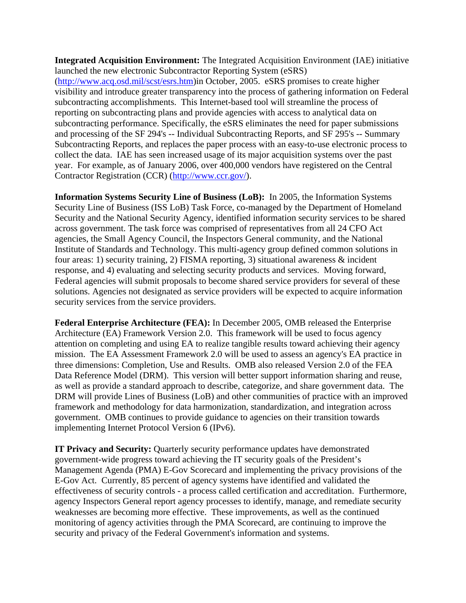**Integrated Acquisition Environment:** The Integrated Acquisition Environment (IAE) initiative launched the new electronic Subcontractor Reporting System (eSRS) ([http://www.acq.osd.mil/scst/esrs.htm\)](http://www.acq.osd.mil/scst/esrs.htm)in October, 2005. eSRS promises to create higher

visibility and introduce greater transparency into the process of gathering information on Federal subcontracting accomplishments. This Internet-based tool will streamline the process of reporting on subcontracting plans and provide agencies with access to analytical data on subcontracting performance. Specifically, the eSRS eliminates the need for paper submissions and processing of the SF 294's -- Individual Subcontracting Reports, and SF 295's -- Summary Subcontracting Reports, and replaces the paper process with an easy-to-use electronic process to collect the data. IAE has seen increased usage of its major acquisition systems over the past year. For example, as of January 2006, over 400,000 vendors have registered on the Central Contractor Registration (CCR) ([http://www.ccr.gov/\)](http://www.ccr.gov/).

**Information Systems Security Line of Business (LoB):** In 2005, the Information Systems Security Line of Business (ISS LoB) Task Force, co-managed by the Department of Homeland Security and the National Security Agency, identified information security services to be shared across government. The task force was comprised of representatives from all 24 CFO Act agencies, the Small Agency Council, the Inspectors General community, and the National Institute of Standards and Technology. This multi-agency group defined common solutions in four areas: 1) security training, 2) FISMA reporting, 3) situational awareness & incident response, and 4) evaluating and selecting security products and services. Moving forward, Federal agencies will submit proposals to become shared service providers for several of these solutions. Agencies not designated as service providers will be expected to acquire information security services from the service providers.

**Federal Enterprise Architecture (FEA):** In December 2005, OMB released the Enterprise Architecture (EA) Framework Version 2.0. This framework will be used to focus agency attention on completing and using EA to realize tangible results toward achieving their agency mission. The EA Assessment Framework 2.0 will be used to assess an agency's EA practice in three dimensions: Completion, Use and Results. OMB also released Version 2.0 of the FEA Data Reference Model (DRM). This version will better support information sharing and reuse, as well as provide a standard approach to describe, categorize, and share government data. The DRM will provide Lines of Business (LoB) and other communities of practice with an improved framework and methodology for data harmonization, standardization, and integration across government. OMB continues to provide guidance to agencies on their transition towards implementing Internet Protocol Version 6 (IPv6).

**IT Privacy and Security:** Quarterly security performance updates have demonstrated government-wide progress toward achieving the IT security goals of the President's Management Agenda (PMA) E-Gov Scorecard and implementing the privacy provisions of the E-Gov Act. Currently, 85 percent of agency systems have identified and validated the effectiveness of security controls - a process called certification and accreditation. Furthermore, agency Inspectors General report agency processes to identify, manage, and remediate security weaknesses are becoming more effective. These improvements, as well as the continued monitoring of agency activities through the PMA Scorecard, are continuing to improve the security and privacy of the Federal Government's information and systems.